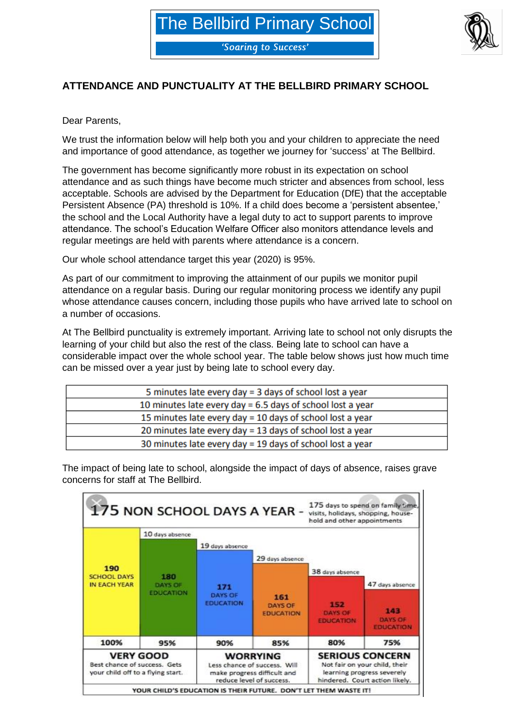'Soaring to Success'



## **ATTENDANCE AND PUNCTUALITY AT THE BELLBIRD PRIMARY SCHOOL**

Dear Parents,

We trust the information below will help both you and your children to appreciate the need and importance of good attendance, as together we journey for 'success' at The Bellbird.

The government has become significantly more robust in its expectation on school attendance and as such things have become much stricter and absences from school, less acceptable. Schools are advised by the Department for Education (DfE) that the acceptable Persistent Absence (PA) threshold is 10%. If a child does become a 'persistent absentee,' the school and the Local Authority have a legal duty to act to support parents to improve attendance. The school's Education Welfare Officer also monitors attendance levels and regular meetings are held with parents where attendance is a concern.

Our whole school attendance target this year (2020) is 95%.

As part of our commitment to improving the attainment of our pupils we monitor pupil attendance on a regular basis. During our regular monitoring process we identify any pupil whose attendance causes concern, including those pupils who have arrived late to school on a number of occasions.

At The Bellbird punctuality is extremely important. Arriving late to school not only disrupts the learning of your child but also the rest of the class. Being late to school can have a considerable impact over the whole school year. The table below shows just how much time can be missed over a year just by being late to school every day.

| 5 minutes late every day = 3 days of school lost a year      |
|--------------------------------------------------------------|
| 10 minutes late every day = $6.5$ days of school lost a year |
| 15 minutes late every day = 10 days of school lost a year    |
| 20 minutes late every day = 13 days of school lost a year    |
| 30 minutes late every day = 19 days of school lost a year    |



The impact of being late to school, alongside the impact of days of absence, raises grave concerns for staff at The Bellbird.